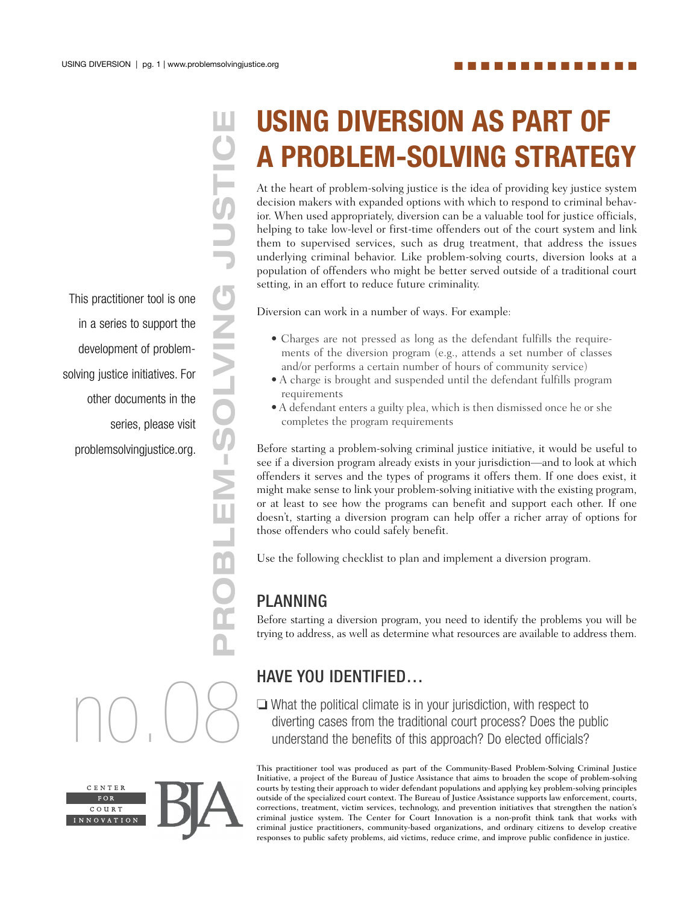■ ■ ■ ■ ■ ■ ■ ■ ■ ■ ■ ■ ■ ■

This practitioner tool is one in a series to support the development of problemsolving justice initiatives. For other documents in the series, please visit problemsolvingjustice.org.

no.08

CENTER COURT INNOVATIC

# **USING DIVERSION AS PART OF**

**PROBLEM-SOLVING STRATEGY**<br> **A PROBLEM-SOLVING STRATEGY**<br>
At the heart of problem-solving justice is the idea of providing key justice system<br>
decision makers with expanded options with which to respond to criminal behave<br> decision makers with expanded options with which to respond to criminal behavior. When used appropriately, diversion can be a valuable tool for justice officials, helping to take low-level or first-time offenders out of the court system and link them to supervised services, such as drug treatment, that address the issues underlying criminal behavior. Like problem-solving courts, diversion looks at a population of offenders who might be better served outside of a traditional court setting, in an effort to reduce future criminality. At the heart of problem-solving justice is the idea of providing key justice system

Diversion can work in a number of ways. For example:

- Charges are not pressed as long as the defendant fulfills the requirements of the diversion program (e.g., attends a set number of classes and/or performs a certain number of hours of community service)
- A charge is brought and suspended until the defendant fulfills program requirements
- A defendant enters a guilty plea, which is then dismissed once he or she completes the program requirements

Before starting a problem-solving criminal justice initiative, it would be useful to see if a diversion program already exists in your jurisdiction—and to look at which offenders it serves and the types of programs it offers them. If one does exist, it might make sense to link your problem-solving initiative with the existing program, or at least to see how the programs can benefit and support each other. If one doesn't, starting a diversion program can help offer a richer array of options for those offenders who could safely benefit.

Use the following checklist to plan and implement a diversion program.

#### PLANNING

Before starting a diversion program, you need to identify the problems you will be trying to address, as well as determine what resources are available to address them.

#### HAVE YOU IDENTIFIED…

❏ What the political climate is in your jurisdiction, with respect to diverting cases from the traditional court process? Does the public understand the benefits of this approach? Do elected officials?

This practitioner tool was produced as part of the Community-Based Problem-Solving Criminal Justice Initiative, a project of the Bureau of Justice Assistance that aims to broaden the scope of problem-solving courts by testing their approach to wider defendant populations and applying key problem-solving principles outside of the specialized court context. The Bureau of Justice Assistance supports law enforcement, courts, corrections, treatment, victim services, technology, and prevention initiatives that strengthen the nation's criminal justice system. The Center for Court Innovation is a non-profit think tank that works with criminal justice practitioners, community-based organizations, and ordinary citizens to develop creative responses to public safety problems, aid victims, reduce crime, and improve public confidence in justice.